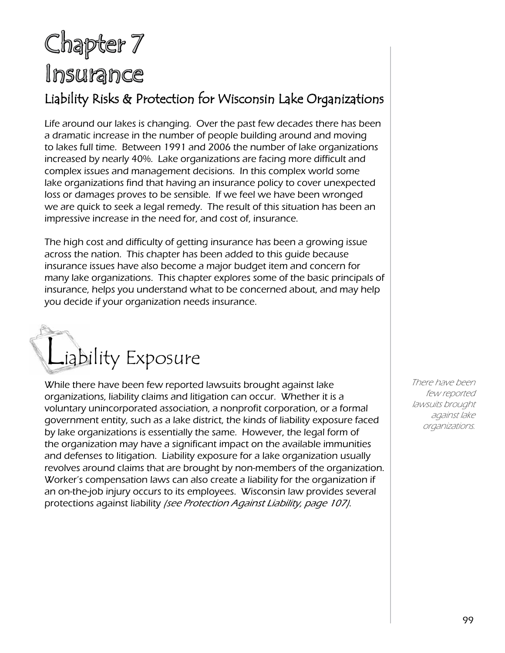## Chapter 7 Insurance

#### Liability Risks & Protection for Wisconsin Lake Organizations

Life around our lakes is changing. Over the past few decades there has been a dramatic increase in the number of people building around and moving to lakes full time. Between 1991 and 2006 the number of lake organizations increased by nearly 40%. Lake organizations are facing more difficult and complex issues and management decisions. In this complex world some lake organizations find that having an insurance policy to cover unexpected loss or damages proves to be sensible. If we feel we have been wronged we are quick to seek a legal remedy. The result of this situation has been an impressive increase in the need for, and cost of, insurance.

The high cost and difficulty of getting insurance has been a growing issue across the nation. This chapter has been added to this guide because insurance issues have also become a major budget item and concern for many lake organizations. This chapter explores some of the basic principals of insurance, helps you understand what to be concerned about, and may help you decide if your organization needs insurance.



While there have been few reported lawsuits brought against lake organizations, liability claims and litigation can occur. Whether it is a voluntary unincorporated association, a nonprofit corporation, or a formal government entity, such as a lake district, the kinds of liability exposure faced by lake organizations is essentially the same. However, the legal form of the organization may have a significant impact on the available immunities and defenses to litigation. Liability exposure for a lake organization usually revolves around claims that are brought by non-members of the organization. Worker's compensation laws can also create a liability for the organization if an on-the-job injury occurs to its employees. Wisconsin law provides several protections against liability (see Protection Against Liability, page 107).

There have been few reported lawsuits brought against lake organizations.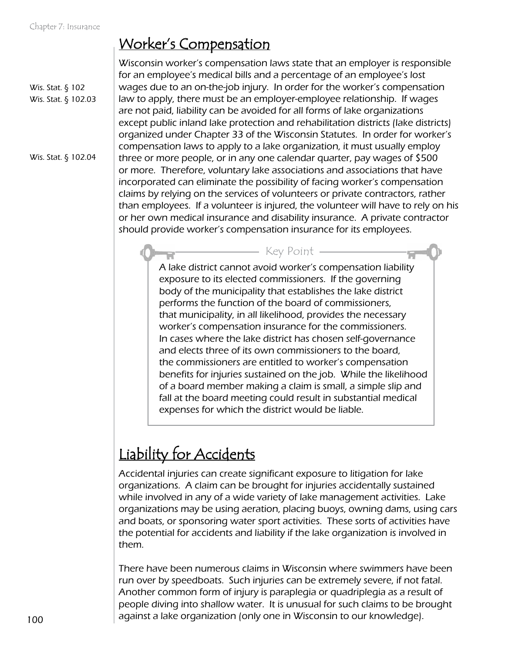Wis. Stat. § 102 Wis. Stat. § 102.03

Wis. Stat. § 102.04

Worker's Compensation

Wisconsin worker's compensation laws state that an employer is responsible for an employee's medical bills and a percentage of an employee's lost wages due to an on-the-job injury. In order for the worker's compensation law to apply, there must be an employer-employee relationship. If wages are not paid, liability can be avoided for all forms of lake organizations except public inland lake protection and rehabilitation districts (lake districts) organized under Chapter 33 of the Wisconsin Statutes. In order for worker's compensation laws to apply to a lake organization, it must usually employ three or more people, or in any one calendar quarter, pay wages of \$500 or more. Therefore, voluntary lake associations and associations that have incorporated can eliminate the possibility of facing worker's compensation claims by relying on the services of volunteers or private contractors, rather than employees. If a volunteer is injured, the volunteer will have to rely on his or her own medical insurance and disability insurance. A private contractor should provide worker's compensation insurance for its employees.

> A lake district cannot avoid worker's compensation liability exposure to its elected commissioners. If the governing body of the municipality that establishes the lake district performs the function of the board of commissioners, that municipality, in all likelihood, provides the necessary worker's compensation insurance for the commissioners. In cases where the lake district has chosen self-governance and elects three of its own commissioners to the board, the commissioners are entitled to worker's compensation benefits for injuries sustained on the job. While the likelihood of a board member making a claim is small, a simple slip and fall at the board meeting could result in substantial medical expenses for which the district would be liable. Key Point

## Liability for Accidents

Accidental injuries can create significant exposure to litigation for lake organizations. A claim can be brought for injuries accidentally sustained while involved in any of a wide variety of lake management activities. Lake organizations may be using aeration, placing buoys, owning dams, using cars and boats, or sponsoring water sport activities. These sorts of activities have the potential for accidents and liability if the lake organization is involved in them.

There have been numerous claims in Wisconsin where swimmers have been run over by speedboats. Such injuries can be extremely severe, if not fatal. Another common form of injury is paraplegia or quadriplegia as a result of people diving into shallow water. It is unusual for such claims to be brought against a lake organization (only one in Wisconsin to our knowledge).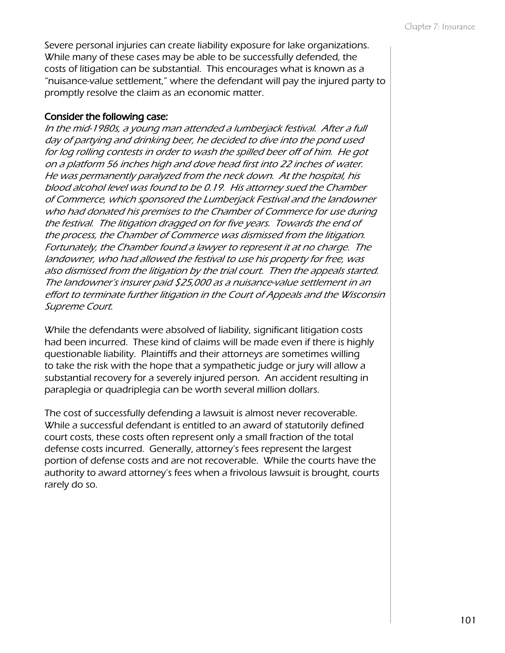Severe personal injuries can create liability exposure for lake organizations. While many of these cases may be able to be successfully defended, the costs of litigation can be substantial. This encourages what is known as a "nuisance-value settlement," where the defendant will pay the injured party to promptly resolve the claim as an economic matter.

#### Consider the following case:

In the mid-1980s, a young man attended a lumberjack festival. After a full day of partying and drinking beer, he decided to dive into the pond used for log rolling contests in order to wash the spilled beer off of him. He got on a platform 56 inches high and dove head first into 22 inches of water. He was permanently paralyzed from the neck down. At the hospital, his blood alcohol level was found to be 0.19. His attorney sued the Chamber of Commerce, which sponsored the Lumberjack Festival and the landowner who had donated his premises to the Chamber of Commerce for use during the festival. The litigation dragged on for five years. Towards the end of the process, the Chamber of Commerce was dismissed from the litigation. Fortunately, the Chamber found a lawyer to represent it at no charge. The landowner, who had allowed the festival to use his property for free, was also dismissed from the litigation by the trial court. Then the appeals started. The landowner's insurer paid \$25,000 as a nuisance-value settlement in an effort to terminate further litigation in the Court of Appeals and the Wisconsin Supreme Court.

While the defendants were absolved of liability, significant litigation costs had been incurred. These kind of claims will be made even if there is highly questionable liability. Plaintiffs and their attorneys are sometimes willing to take the risk with the hope that a sympathetic judge or jury will allow a substantial recovery for a severely injured person. An accident resulting in paraplegia or quadriplegia can be worth several million dollars.

The cost of successfully defending a lawsuit is almost never recoverable. While a successful defendant is entitled to an award of statutorily defined court costs, these costs often represent only a small fraction of the total defense costs incurred. Generally, attorney's fees represent the largest portion of defense costs and are not recoverable. While the courts have the authority to award attorney's fees when a frivolous lawsuit is brought, courts rarely do so.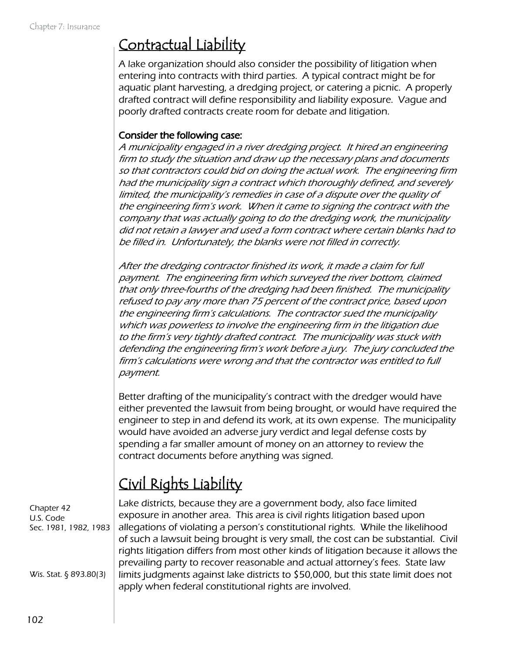#### Contractual Liability

A lake organization should also consider the possibility of litigation when entering into contracts with third parties. A typical contract might be for aquatic plant harvesting, a dredging project, or catering a picnic. A properly drafted contract will define responsibility and liability exposure. Vague and poorly drafted contracts create room for debate and litigation.

#### Consider the following case:

A municipality engaged in a river dredging project. It hired an engineering firm to study the situation and draw up the necessary plans and documents so that contractors could bid on doing the actual work. The engineering firm had the municipality sign a contract which thoroughly defined, and severely limited, the municipality's remedies in case of a dispute over the quality of the engineering firm's work. When it came to signing the contract with the company that was actually going to do the dredging work, the municipality did not retain a lawyer and used a form contract where certain blanks had to be filled in. Unfortunately, the blanks were not filled in correctly.

After the dredging contractor finished its work, it made a claim for full payment. The engineering firm which surveyed the river bottom, claimed that only three-fourths of the dredging had been finished. The municipality refused to pay any more than 75 percent of the contract price, based upon the engineering firm's calculations. The contractor sued the municipality which was powerless to involve the engineering firm in the litigation due to the firm's very tightly drafted contract. The municipality was stuck with defending the engineering firm's work before a jury. The jury concluded the firm's calculations were wrong and that the contractor was entitled to full payment.

Better drafting of the municipality's contract with the dredger would have either prevented the lawsuit from being brought, or would have required the engineer to step in and defend its work, at its own expense. The municipality would have avoided an adverse jury verdict and legal defense costs by spending a far smaller amount of money on an attorney to review the contract documents before anything was signed.

## Civil Rights Liability

Chapter 42 U.S. Code Sec. 1981, 1982, 1983

Wis. Stat. § 893.80(3)

Lake districts, because they are a government body, also face limited exposure in another area. This area is civil rights litigation based upon allegations of violating a person's constitutional rights. While the likelihood of such a lawsuit being brought is very small, the cost can be substantial. Civil rights litigation differs from most other kinds of litigation because it allows the prevailing party to recover reasonable and actual attorney's fees. State law limits judgments against lake districts to \$50,000, but this state limit does not apply when federal constitutional rights are involved.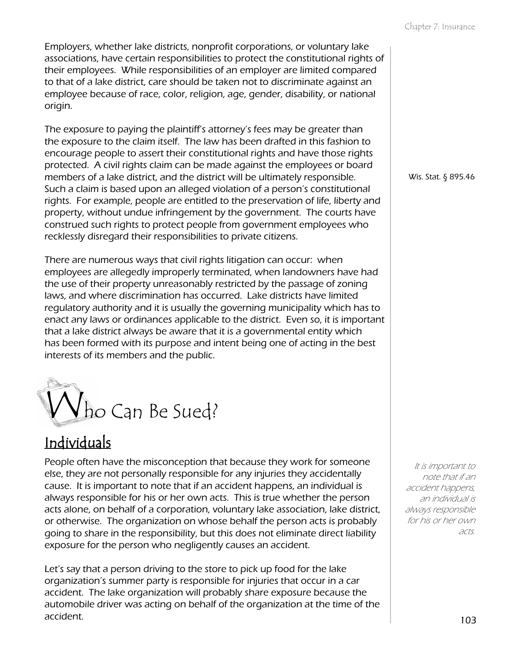Employers, whether lake districts, nonprofit corporations, or voluntary lake associations, have certain responsibilities to protect the constitutional rights of their employees. While responsibilities of an employer are limited compared to that of a lake district, care should be taken not to discriminate against an employee because of race, color, religion, age, gender, disability, or national origin.

The exposure to paying the plaintiff's attorney's fees may be greater than the exposure to the claim itself. The law has been drafted in this fashion to encourage people to assert their constitutional rights and have those rights protected. A civil rights claim can be made against the employees or board members of a lake district, and the district will be ultimately responsible. Such a claim is based upon an alleged violation of a person's constitutional rights. For example, people are entitled to the preservation of life, liberty and property, without undue infringement by the government. The courts have construed such rights to protect people from government employees who recklessly disregard their responsibilities to private citizens.

There are numerous ways that civil rights litigation can occur: when employees are allegedly improperly terminated, when landowners have had the use of their property unreasonably restricted by the passage of zoning laws, and where discrimination has occurred. Lake districts have limited regulatory authority and it is usually the governing municipality which has to enact any laws or ordinances applicable to the district. Even so, it is important that a lake district always be aware that it is a governmental entity which has been formed with its purpose and intent being one of acting in the best interests of its members and the public.



#### Individuals

People often have the misconception that because they work for someone else, they are not personally responsible for any injuries they accidentally cause. It is important to note that if an accident happens, an individual is always responsible for his or her own acts. This is true whether the person acts alone, on behalf of a corporation, voluntary lake association, lake district, or otherwise. The organization on whose behalf the person acts is probably going to share in the responsibility, but this does not eliminate direct liability exposure for the person who negligently causes an accident.

Let's say that a person driving to the store to pick up food for the lake organization's summer party is responsible for injuries that occur in a car accident. The lake organization will probably share exposure because the automobile driver was acting on behalf of the organization at the time of the accident.

Wis. Stat. § 895.46

It is important to note that if an accident happens, an individual is always responsible for his or her own acts.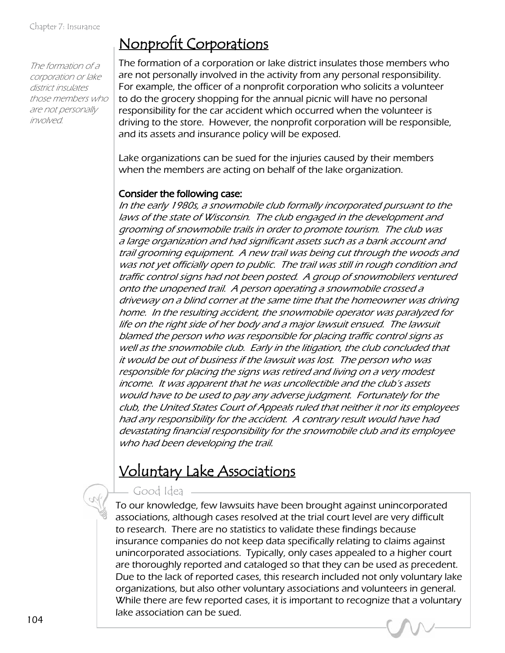The formation of a corporation or lake district insulates those members who are not personally involved.

#### Nonprofit Corporations

The formation of a corporation or lake district insulates those members who are not personally involved in the activity from any personal responsibility. For example, the officer of a nonprofit corporation who solicits a volunteer to do the grocery shopping for the annual picnic will have no personal responsibility for the car accident which occurred when the volunteer is driving to the store. However, the nonprofit corporation will be responsible, and its assets and insurance policy will be exposed.

Lake organizations can be sued for the injuries caused by their members when the members are acting on behalf of the lake organization.

#### Consider the following case:

In the early 1980s, a snowmobile club formally incorporated pursuant to the laws of the state of Wisconsin. The club engaged in the development and grooming of snowmobile trails in order to promote tourism. The club was a large organization and had significant assets such as a bank account and trail grooming equipment. A new trail was being cut through the woods and was not yet officially open to public. The trail was still in rough condition and traffic control signs had not been posted. A group of snowmobilers ventured onto the unopened trail. A person operating a snowmobile crossed a driveway on a blind corner at the same time that the homeowner was driving home. In the resulting accident, the snowmobile operator was paralyzed for life on the right side of her body and a major lawsuit ensued. The lawsuit blamed the person who was responsible for placing traffic control signs as well as the snowmobile club. Early in the litigation, the club concluded that it would be out of business if the lawsuit was lost. The person who was responsible for placing the signs was retired and living on a very modest income. It was apparent that he was uncollectible and the club's assets would have to be used to pay any adverse judgment. Fortunately for the club, the United States Court of Appeals ruled that neither it nor its employees had any responsibility for the accident. A contrary result would have had devastating financial responsibility for the snowmobile club and its employee who had been developing the trail.

#### Voluntary Lake Associations

#### Good Idea

To our knowledge, few lawsuits have been brought against unincorporated associations, although cases resolved at the trial court level are very difficult to research. There are no statistics to validate these findings because insurance companies do not keep data specifically relating to claims against unincorporated associations. Typically, only cases appealed to a higher court are thoroughly reported and cataloged so that they can be used as precedent. Due to the lack of reported cases, this research included not only voluntary lake organizations, but also other voluntary associations and volunteers in general. While there are few reported cases, it is important to recognize that a voluntary lake association can be sued.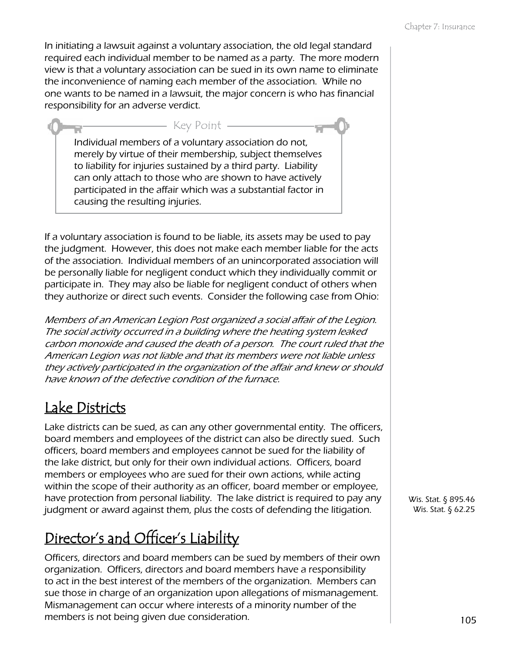In initiating a lawsuit against a voluntary association, the old legal standard required each individual member to be named as a party. The more modern view is that a voluntary association can be sued in its own name to eliminate the inconvenience of naming each member of the association. While no one wants to be named in a lawsuit, the major concern is who has financial responsibility for an adverse verdict.

Individual members of a voluntary association do not, merely by virtue of their membership, subject themselves to liability for injuries sustained by a third party. Liability can only attach to those who are shown to have actively participated in the affair which was a substantial factor in causing the resulting injuries.

Key Point

If a voluntary association is found to be liable, its assets may be used to pay the judgment. However, this does not make each member liable for the acts of the association. Individual members of an unincorporated association will be personally liable for negligent conduct which they individually commit or participate in. They may also be liable for negligent conduct of others when they authorize or direct such events. Consider the following case from Ohio:

Members of an American Legion Post organized a social affair of the Legion. The social activity occurred in a building where the heating system leaked carbon monoxide and caused the death of a person. The court ruled that the American Legion was not liable and that its members were not liable unless they actively participated in the organization of the affair and knew or should have known of the defective condition of the furnace.

#### Lake Districts

Lake districts can be sued, as can any other governmental entity. The officers, board members and employees of the district can also be directly sued. Such officers, board members and employees cannot be sued for the liability of the lake district, but only for their own individual actions. Officers, board members or employees who are sued for their own actions, while acting within the scope of their authority as an officer, board member or employee, have protection from personal liability. The lake district is required to pay any judgment or award against them, plus the costs of defending the litigation.

## Director's and Officer's Liability

Officers, directors and board members can be sued by members of their own organization. Officers, directors and board members have a responsibility to act in the best interest of the members of the organization. Members can sue those in charge of an organization upon allegations of mismanagement. Mismanagement can occur where interests of a minority number of the members is not being given due consideration.

Wis. Stat. § 895.46 Wis. Stat. § 62.25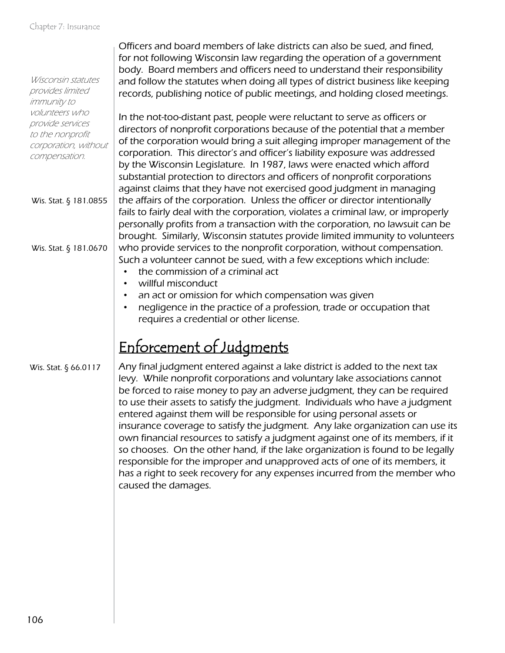|                                          | Officers and board members of lake districts can also be sued, and fined,                                                                                 |
|------------------------------------------|-----------------------------------------------------------------------------------------------------------------------------------------------------------|
|                                          | for not following Wisconsin law regarding the operation of a government<br>body. Board members and officers need to understand their responsibility       |
| Wisconsin statutes                       | and follow the statutes when doing all types of district business like keeping                                                                            |
| provides limited                         | records, publishing notice of public meetings, and holding closed meetings.                                                                               |
| immunity to                              |                                                                                                                                                           |
| volunteers who                           | In the not-too-distant past, people were reluctant to serve as officers or                                                                                |
| provide services                         | directors of nonprofit corporations because of the potential that a member                                                                                |
| to the nonprofit<br>corporation, without | of the corporation would bring a suit alleging improper management of the                                                                                 |
| compensation.                            | corporation. This director's and officer's liability exposure was addressed                                                                               |
|                                          | by the Wisconsin Legislature. In 1987, laws were enacted which afford                                                                                     |
|                                          | substantial protection to directors and officers of nonprofit corporations                                                                                |
|                                          | against claims that they have not exercised good judgment in managing                                                                                     |
| Wis. Stat. § 181.0855                    | the affairs of the corporation. Unless the officer or director intentionally                                                                              |
|                                          | fails to fairly deal with the corporation, violates a criminal law, or improperly                                                                         |
|                                          | personally profits from a transaction with the corporation, no lawsuit can be                                                                             |
|                                          | brought. Similarly, Wisconsin statutes provide limited immunity to volunteers                                                                             |
| Wis. Stat. § 181.0670                    | who provide services to the nonprofit corporation, without compensation.                                                                                  |
|                                          | Such a volunteer cannot be sued, with a few exceptions which include:                                                                                     |
|                                          | the commission of a criminal act                                                                                                                          |
|                                          | willful misconduct                                                                                                                                        |
|                                          | an act or omission for which compensation was given<br>$\bullet$                                                                                          |
|                                          | negligence in the practice of a profession, trade or occupation that<br>$\bullet$                                                                         |
|                                          | requires a credential or other license.                                                                                                                   |
|                                          |                                                                                                                                                           |
|                                          | Enforcement of Judgments                                                                                                                                  |
| Wis. Stat. § 66.0117                     | Any final judgment entered against a lake district is added to the next tax                                                                               |
|                                          | levy. While nonprofit corporations and voluntary lake associations cannot                                                                                 |
|                                          | be forced to raise money to pay an adverse judgment, they can be required<br>to use their assets to satisfy the judgment. Individuals who have a judgment |
|                                          | entered against them will be responsible for using personal assets or                                                                                     |
|                                          | insurance coverage to satisfy the judgment. Any lake organization can use its                                                                             |
|                                          | own financial resources to satisfy a judgment against one of its members, if it                                                                           |
|                                          | so chooses. On the other hand, if the lake organization is found to be legally                                                                            |
|                                          | responsible for the improper and unapproved acts of one of its members, it                                                                                |
|                                          | has a right to seek recovery for any expenses incurred from the member who                                                                                |
|                                          | caused the damages.                                                                                                                                       |
|                                          |                                                                                                                                                           |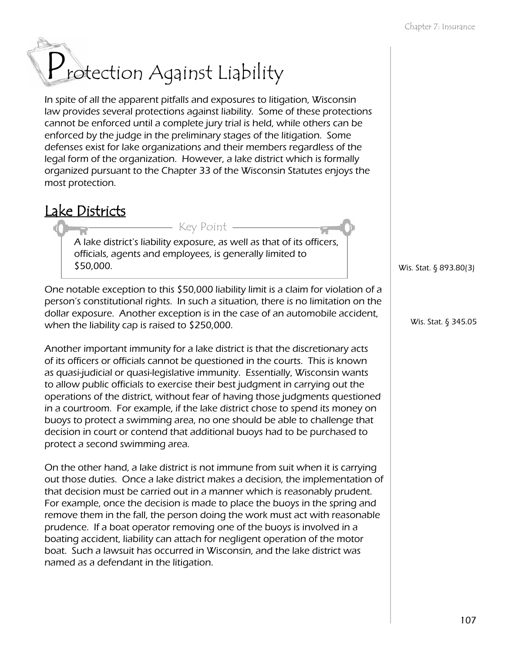# Protection Against Liability

In spite of all the apparent pitfalls and exposures to litigation, Wisconsin law provides several protections against liability. Some of these protections cannot be enforced until a complete jury trial is held, while others can be enforced by the judge in the preliminary stages of the litigation. Some defenses exist for lake organizations and their members regardless of the legal form of the organization. However, a lake district which is formally organized pursuant to the Chapter 33 of the Wisconsin Statutes enjoys the most protection.

#### Lake Districts

A lake district's liability exposure, as well as that of its officers, officials, agents and employees, is generally limited to \$50,000.

Key Point

One notable exception to this \$50,000 liability limit is a claim for violation of a person's constitutional rights. In such a situation, there is no limitation on the dollar exposure. Another exception is in the case of an automobile accident, when the liability cap is raised to \$250,000.

Another important immunity for a lake district is that the discretionary acts of its officers or officials cannot be questioned in the courts. This is known as quasi-judicial or quasi-legislative immunity. Essentially, Wisconsin wants to allow public officials to exercise their best judgment in carrying out the operations of the district, without fear of having those judgments questioned in a courtroom. For example, if the lake district chose to spend its money on buoys to protect a swimming area, no one should be able to challenge that decision in court or contend that additional buoys had to be purchased to protect a second swimming area.

On the other hand, a lake district is not immune from suit when it is carrying out those duties. Once a lake district makes a decision, the implementation of that decision must be carried out in a manner which is reasonably prudent. For example, once the decision is made to place the buoys in the spring and remove them in the fall, the person doing the work must act with reasonable prudence. If a boat operator removing one of the buoys is involved in a boating accident, liability can attach for negligent operation of the motor boat. Such a lawsuit has occurred in Wisconsin, and the lake district was named as a defendant in the litigation.

Wis. Stat. § 893.80(3)

Wis. Stat. § 345.05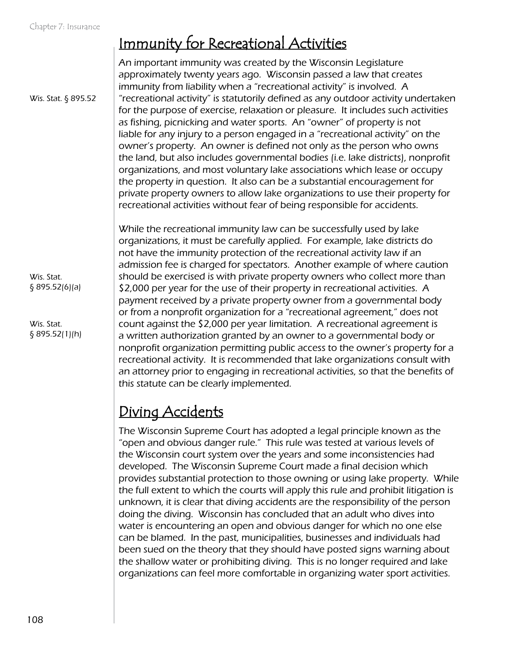### Immunity for Recreational Activities

An important immunity was created by the Wisconsin Legislature approximately twenty years ago. Wisconsin passed a law that creates immunity from liability when a "recreational activity" is involved. A "recreational activity" is statutorily defined as any outdoor activity undertaken for the purpose of exercise, relaxation or pleasure. It includes such activities as fishing, picnicking and water sports. An "owner" of property is not liable for any injury to a person engaged in a "recreational activity" on the owner's property. An owner is defined not only as the person who owns the land, but also includes governmental bodies (i.e. lake districts), nonprofit organizations, and most voluntary lake associations which lease or occupy the property in question. It also can be a substantial encouragement for private property owners to allow lake organizations to use their property for recreational activities without fear of being responsible for accidents.

While the recreational immunity law can be successfully used by lake organizations, it must be carefully applied. For example, lake districts do not have the immunity protection of the recreational activity law if an admission fee is charged for spectators. Another example of where caution should be exercised is with private property owners who collect more than \$2,000 per year for the use of their property in recreational activities. A payment received by a private property owner from a governmental body or from a nonprofit organization for a "recreational agreement," does not count against the \$2,000 per year limitation. A recreational agreement is a written authorization granted by an owner to a governmental body or nonprofit organization permitting public access to the owner's property for a recreational activity. It is recommended that lake organizations consult with an attorney prior to engaging in recreational activities, so that the benefits of this statute can be clearly implemented.

#### Diving Accidents

The Wisconsin Supreme Court has adopted a legal principle known as the "open and obvious danger rule." This rule was tested at various levels of the Wisconsin court system over the years and some inconsistencies had developed. The Wisconsin Supreme Court made a final decision which provides substantial protection to those owning or using lake property. While the full extent to which the courts will apply this rule and prohibit litigation is unknown, it is clear that diving accidents are the responsibility of the person doing the diving. Wisconsin has concluded that an adult who dives into water is encountering an open and obvious danger for which no one else can be blamed. In the past, municipalities, businesses and individuals had been sued on the theory that they should have posted signs warning about the shallow water or prohibiting diving. This is no longer required and lake organizations can feel more comfortable in organizing water sport activities.

Wis. Stat. § 895.52

Wis. Stat. § 895.52(6)(a)

Wis. Stat. § 895.52(1)(h)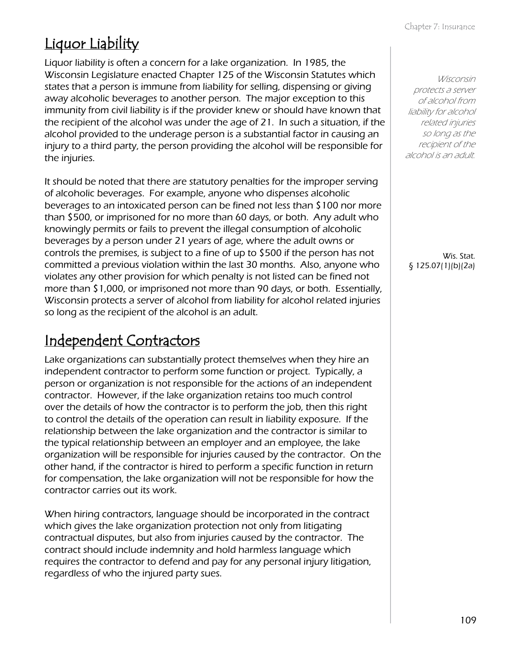## Liquor Liability

Liquor liability is often a concern for a lake organization. In 1985, the Wisconsin Legislature enacted Chapter 125 of the Wisconsin Statutes which states that a person is immune from liability for selling, dispensing or giving away alcoholic beverages to another person. The major exception to this immunity from civil liability is if the provider knew or should have known that the recipient of the alcohol was under the age of 21. In such a situation, if the alcohol provided to the underage person is a substantial factor in causing an injury to a third party, the person providing the alcohol will be responsible for the injuries.

It should be noted that there are statutory penalties for the improper serving of alcoholic beverages. For example, anyone who dispenses alcoholic beverages to an intoxicated person can be fined not less than \$100 nor more than \$500, or imprisoned for no more than 60 days, or both. Any adult who knowingly permits or fails to prevent the illegal consumption of alcoholic beverages by a person under 21 years of age, where the adult owns or controls the premises, is subject to a fine of up to \$500 if the person has not committed a previous violation within the last 30 months. Also, anyone who violates any other provision for which penalty is not listed can be fined not more than \$1,000, or imprisoned not more than 90 days, or both. Essentially, Wisconsin protects a server of alcohol from liability for alcohol related injuries so long as the recipient of the alcohol is an adult.

#### Independent Contractors

Lake organizations can substantially protect themselves when they hire an independent contractor to perform some function or project. Typically, a person or organization is not responsible for the actions of an independent contractor. However, if the lake organization retains too much control over the details of how the contractor is to perform the job, then this right to control the details of the operation can result in liability exposure. If the relationship between the lake organization and the contractor is similar to the typical relationship between an employer and an employee, the lake organization will be responsible for injuries caused by the contractor. On the other hand, if the contractor is hired to perform a specific function in return for compensation, the lake organization will not be responsible for how the contractor carries out its work.

When hiring contractors, language should be incorporated in the contract which gives the lake organization protection not only from litigating contractual disputes, but also from injuries caused by the contractor. The contract should include indemnity and hold harmless language which requires the contractor to defend and pay for any personal injury litigation, regardless of who the injured party sues.

Wisconsin protects a server of alcohol from liability for alcohol related injuries so long as the recipient of the alcohol is an adult.

Wis. Stat. § 125.07(1)(b)(2a)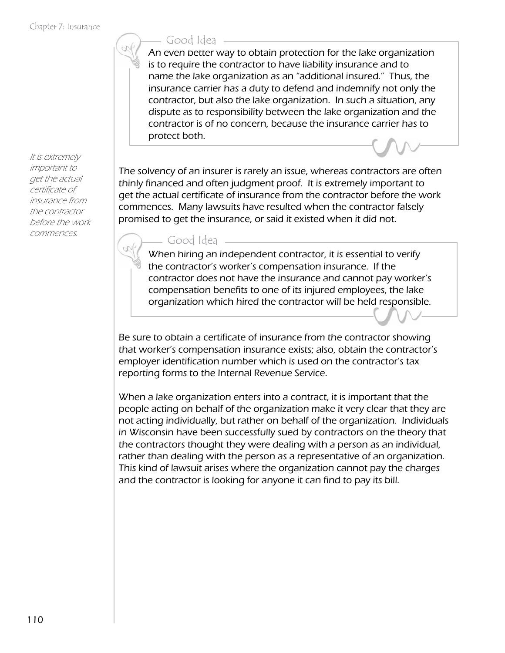It is extremely important to get the actual certificate of insurance from the contractor before the work commences.

#### Good Idea

An even better way to obtain protection for the lake organization is to require the contractor to have liability insurance and to name the lake organization as an "additional insured." Thus, the insurance carrier has a duty to defend and indemnify not only the contractor, but also the lake organization. In such a situation, any dispute as to responsibility between the lake organization and the contractor is of no concern, because the insurance carrier has to protect both.

The solvency of an insurer is rarely an issue, whereas contractors are often thinly financed and often judgment proof. It is extremely important to get the actual certificate of insurance from the contractor before the work commences. Many lawsuits have resulted when the contractor falsely promised to get the insurance, or said it existed when it did not.

Good Idea

When hiring an independent contractor, it is essential to verify the contractor's worker's compensation insurance. If the contractor does not have the insurance and cannot pay worker's compensation benefits to one of its injured employees, the lake organization which hired the contractor will be held responsible.

Be sure to obtain a certificate of insurance from the contractor showing that worker's compensation insurance exists; also, obtain the contractor's employer identification number which is used on the contractor's tax reporting forms to the Internal Revenue Service.

When a lake organization enters into a contract, it is important that the people acting on behalf of the organization make it very clear that they are not acting individually, but rather on behalf of the organization. Individuals in Wisconsin have been successfully sued by contractors on the theory that the contractors thought they were dealing with a person as an individual, rather than dealing with the person as a representative of an organization. This kind of lawsuit arises where the organization cannot pay the charges and the contractor is looking for anyone it can find to pay its bill.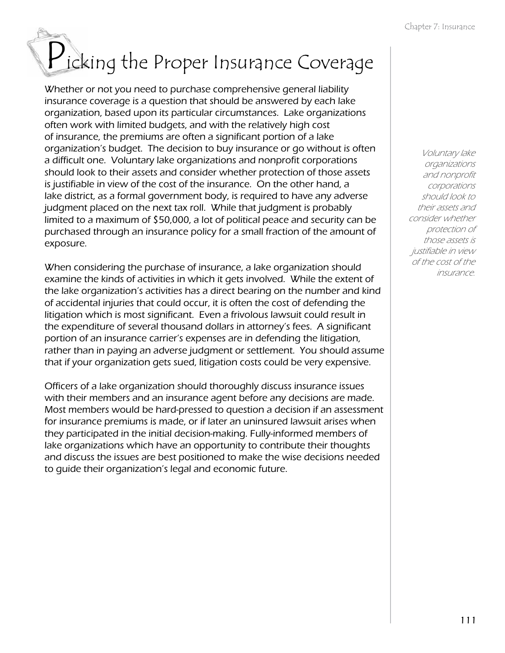# Picking the Proper Insurance Coverage

Whether or not you need to purchase comprehensive general liability insurance coverage is a question that should be answered by each lake organization, based upon its particular circumstances. Lake organizations often work with limited budgets, and with the relatively high cost of insurance, the premiums are often a significant portion of a lake organization's budget. The decision to buy insurance or go without is often a difficult one. Voluntary lake organizations and nonprofit corporations should look to their assets and consider whether protection of those assets is justifiable in view of the cost of the insurance. On the other hand, a lake district, as a formal government body, is required to have any adverse judgment placed on the next tax roll. While that judgment is probably limited to a maximum of \$50,000, a lot of political peace and security can be purchased through an insurance policy for a small fraction of the amount of exposure.

When considering the purchase of insurance, a lake organization should examine the kinds of activities in which it gets involved. While the extent of the lake organization's activities has a direct bearing on the number and kind of accidental injuries that could occur, it is often the cost of defending the litigation which is most significant. Even a frivolous lawsuit could result in the expenditure of several thousand dollars in attorney's fees. A significant portion of an insurance carrier's expenses are in defending the litigation, rather than in paying an adverse judgment or settlement. You should assume that if your organization gets sued, litigation costs could be very expensive.

Officers of a lake organization should thoroughly discuss insurance issues with their members and an insurance agent before any decisions are made. Most members would be hard-pressed to question a decision if an assessment for insurance premiums is made, or if later an uninsured lawsuit arises when they participated in the initial decision-making. Fully-informed members of lake organizations which have an opportunity to contribute their thoughts and discuss the issues are best positioned to make the wise decisions needed to guide their organization's legal and economic future.

Voluntary lake organizations and nonprofit corporations should look to their assets and consider whether protection of those assets is justifiable in view of the cost of the insurance.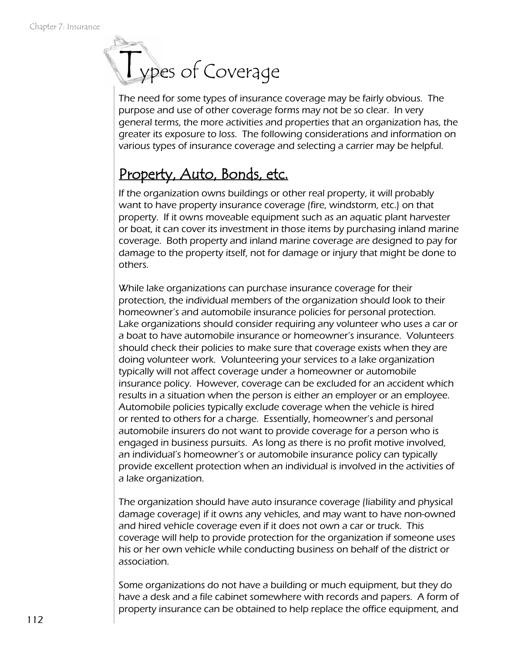# Types of Coverage

The need for some types of insurance coverage may be fairly obvious. The purpose and use of other coverage forms may not be so clear. In very general terms, the more activities and properties that an organization has, the greater its exposure to loss. The following considerations and information on various types of insurance coverage and selecting a carrier may be helpful.

#### Property, Auto, Bonds, etc.

If the organization owns buildings or other real property, it will probably want to have property insurance coverage (fire, windstorm, etc.) on that property. If it owns moveable equipment such as an aquatic plant harvester or boat, it can cover its investment in those items by purchasing inland marine coverage. Both property and inland marine coverage are designed to pay for damage to the property itself, not for damage or injury that might be done to others.

While lake organizations can purchase insurance coverage for their protection, the individual members of the organization should look to their homeowner's and automobile insurance policies for personal protection. Lake organizations should consider requiring any volunteer who uses a car or a boat to have automobile insurance or homeowner's insurance. Volunteers should check their policies to make sure that coverage exists when they are doing volunteer work. Volunteering your services to a lake organization typically will not affect coverage under a homeowner or automobile insurance policy. However, coverage can be excluded for an accident which results in a situation when the person is either an employer or an employee. Automobile policies typically exclude coverage when the vehicle is hired or rented to others for a charge. Essentially, homeowner's and personal automobile insurers do not want to provide coverage for a person who is engaged in business pursuits. As long as there is no profit motive involved, an individual's homeowner's or automobile insurance policy can typically provide excellent protection when an individual is involved in the activities of a lake organization.

The organization should have auto insurance coverage (liability and physical damage coverage) if it owns any vehicles, and may want to have non-owned and hired vehicle coverage even if it does not own a car or truck. This coverage will help to provide protection for the organization if someone uses his or her own vehicle while conducting business on behalf of the district or association.

Some organizations do not have a building or much equipment, but they do have a desk and a file cabinet somewhere with records and papers. A form of property insurance can be obtained to help replace the office equipment, and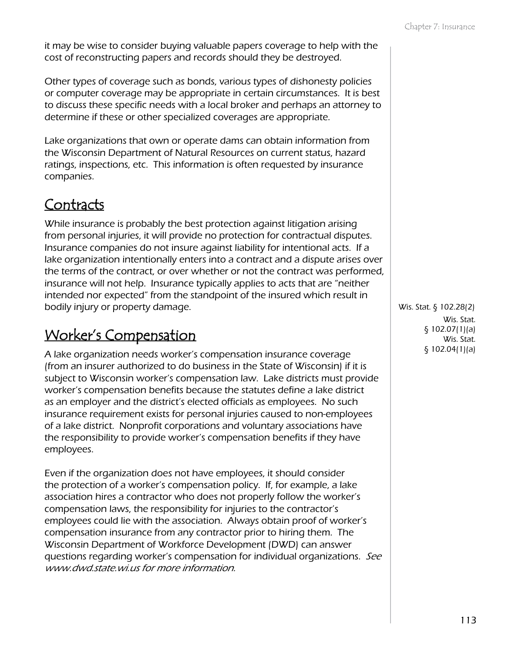it may be wise to consider buying valuable papers coverage to help with the cost of reconstructing papers and records should they be destroyed.

Other types of coverage such as bonds, various types of dishonesty policies or computer coverage may be appropriate in certain circumstances. It is best to discuss these specific needs with a local broker and perhaps an attorney to determine if these or other specialized coverages are appropriate.

Lake organizations that own or operate dams can obtain information from the Wisconsin Department of Natural Resources on current status, hazard ratings, inspections, etc. This information is often requested by insurance companies.

#### Contracts

While insurance is probably the best protection against litigation arising from personal injuries, it will provide no protection for contractual disputes. Insurance companies do not insure against liability for intentional acts. If a lake organization intentionally enters into a contract and a dispute arises over the terms of the contract, or over whether or not the contract was performed, insurance will not help. Insurance typically applies to acts that are "neither intended nor expected" from the standpoint of the insured which result in bodily injury or property damage.

#### Worker's Compensation

A lake organization needs worker's compensation insurance coverage (from an insurer authorized to do business in the State of Wisconsin) if it is subject to Wisconsin worker's compensation law. Lake districts must provide worker's compensation benefits because the statutes define a lake district as an employer and the district's elected officials as employees. No such insurance requirement exists for personal injuries caused to non-employees of a lake district. Nonprofit corporations and voluntary associations have the responsibility to provide worker's compensation benefits if they have employees.

Even if the organization does not have employees, it should consider the protection of a worker's compensation policy. If, for example, a lake association hires a contractor who does not properly follow the worker's compensation laws, the responsibility for injuries to the contractor's employees could lie with the association. Always obtain proof of worker's compensation insurance from any contractor prior to hiring them. The Wisconsin Department of Workforce Development (DWD) can answer questions regarding worker's compensation for individual organizations. See [www.dwd.state.wi.us](http://www.dwd.state.wi.us/) for more information.

Wis. Stat. § 102.28(2) Wis. Stat. § 102.07(1)(a) Wis. Stat. § 102.04(1)(a)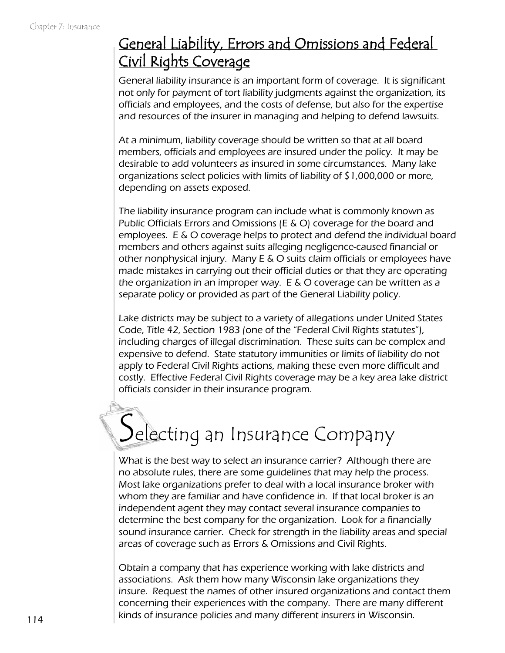#### General Liability, Errors and Omissions and Federal Civil Rights Coverage

General liability insurance is an important form of coverage. It is significant not only for payment of tort liability judgments against the organization, its officials and employees, and the costs of defense, but also for the expertise and resources of the insurer in managing and helping to defend lawsuits.

At a minimum, liability coverage should be written so that at all board members, officials and employees are insured under the policy. It may be desirable to add volunteers as insured in some circumstances. Many lake organizations select policies with limits of liability of \$1,000,000 or more, depending on assets exposed.

The liability insurance program can include what is commonly known as Public Officials Errors and Omissions (E & O) coverage for the board and employees. E & O coverage helps to protect and defend the individual board members and others against suits alleging negligence-caused financial or other nonphysical injury. Many E & O suits claim officials or employees have made mistakes in carrying out their official duties or that they are operating the organization in an improper way. E & O coverage can be written as a separate policy or provided as part of the General Liability policy.

Lake districts may be subject to a variety of allegations under United States Code, Title 42, Section 1983 (one of the "Federal Civil Rights statutes"), including charges of illegal discrimination. These suits can be complex and expensive to defend. State statutory immunities or limits of liability do not apply to Federal Civil Rights actions, making these even more difficult and costly. Effective Federal Civil Rights coverage may be a key area lake district officials consider in their insurance program.

## Selecting an Insurance Company

What is the best way to select an insurance carrier? Although there are no absolute rules, there are some guidelines that may help the process. Most lake organizations prefer to deal with a local insurance broker with whom they are familiar and have confidence in. If that local broker is an independent agent they may contact several insurance companies to determine the best company for the organization. Look for a financially sound insurance carrier. Check for strength in the liability areas and special areas of coverage such as Errors & Omissions and Civil Rights.

Obtain a company that has experience working with lake districts and associations. Ask them how many Wisconsin lake organizations they insure. Request the names of other insured organizations and contact them concerning their experiences with the company. There are many different kinds of insurance policies and many different insurers in Wisconsin.